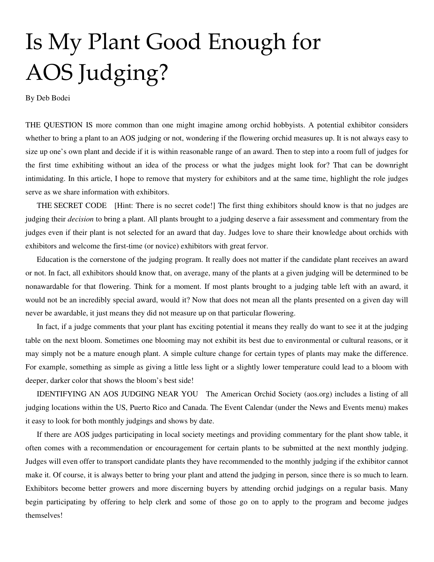## Is My Plant Good Enough for AOS Judging?

By Deb Bodei

THE QUESTION IS more common than one might imagine among orchid hobbyists. A potential exhibitor considers whether to bring a plant to an AOS judging or not, wondering if the flowering orchid measures up. It is not always easy to size up one's own plant and decide if it is within reasonable range of an award. Then to step into a room full of judges for the first time exhibiting without an idea of the process or what the judges might look for? That can be downright intimidating. In this article, I hope to remove that mystery for exhibitors and at the same time, highlight the role judges serve as we share information with exhibitors.

THE SECRET CODE [Hint: There is no secret code!] The first thing exhibitors should know is that no judges are judging their *decision* to bring a plant. All plants brought to a judging deserve a fair assessment and commentary from the judges even if their plant is not selected for an award that day. Judges love to share their knowledge about orchids with exhibitors and welcome the first-time (or novice) exhibitors with great fervor.

Education is the cornerstone of the judging program. It really does not matter if the candidate plant receives an award or not. In fact, all exhibitors should know that, on average, many of the plants at a given judging will be determined to be nonawardable for that flowering. Think for a moment. If most plants brought to a judging table left with an award, it would not be an incredibly special award, would it? Now that does not mean all the plants presented on a given day will never be awardable, it just means they did not measure up on that particular flowering.

In fact, if a judge comments that your plant has exciting potential it means they really do want to see it at the judging table on the next bloom. Sometimes one blooming may not exhibit its best due to environmental or cultural reasons, or it may simply not be a mature enough plant. A simple culture change for certain types of plants may make the difference. For example, something as simple as giving a little less light or a slightly lower temperature could lead to a bloom with deeper, darker color that shows the bloom's best side!

IDENTIFYING AN AOS JUDGING NEAR YOU The American Orchid Society (aos.org) includes a listing of all judging locations within the US, Puerto Rico and Canada. The Event Calendar (under the News and Events menu) makes it easy to look for both monthly judgings and shows by date.

If there are AOS judges participating in local society meetings and providing commentary for the plant show table, it often comes with a recommendation or encouragement for certain plants to be submitted at the next monthly judging. Judges will even offer to transport candidate plants they have recommended to the monthly judging if the exhibitor cannot make it. Of course, it is always better to bring your plant and attend the judging in person, since there is so much to learn. Exhibitors become better growers and more discerning buyers by attending orchid judgings on a regular basis. Many begin participating by offering to help clerk and some of those go on to apply to the program and become judges themselves!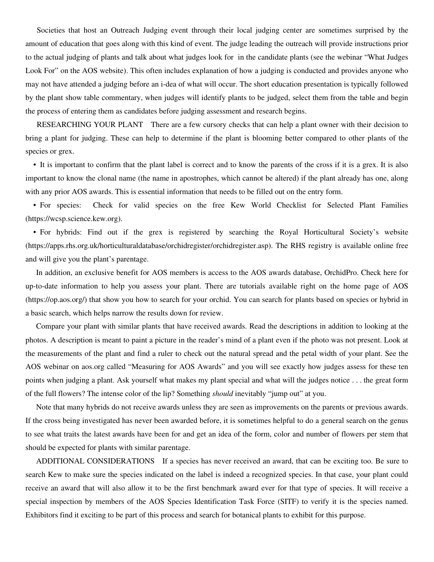Societies that host an Outreach Judging event through their local judging center are sometimes surprised by the amount of education that goes along with this kind of event. The judge leading the outreach will provide instructions prior to the actual judging of plants and talk about what judges look for in the candidate plants (see the webinar "What Judges Look For" on the AOS website). This often includes explanation of how a judging is conducted and provides anyone who may not have attended a judging before an i-dea of what will occur. The short education presentation is typically followed by the plant show table commentary, when judges will identify plants to be judged, select them from the table and begin the process of entering them as candidates before judging assessment and research begins.

RESEARCHING YOUR PLANT There are a few cursory checks that can help a plant owner with their decision to bring a plant for judging. These can help to determine if the plant is blooming better compared to other plants of the species or grex.

 • It is important to confirm that the plant label is correct and to know the parents of the cross if it is a grex. It is also important to know the clonal name (the name in apostrophes, which cannot be altered) if the plant already has one, along with any prior AOS awards. This is essential information that needs to be filled out on the entry form.

 • For species: Check for valid species on the free Kew World Checklist for Selected Plant Families (https://wcsp.science.kew.org).

 • For hybrids: Find out if the grex is registered by searching the Royal Horticultural Society's website (https://apps.rhs.org.uk/horticulturaldatabase/orchidregister/orchidregister.asp). The RHS registry is available online free and will give you the plant's parentage.

In addition, an exclusive benefit for AOS members is access to the AOS awards database, OrchidPro. Check here for up-to-date information to help you assess your plant. There are tutorials available right on the home page of AOS (https://op.aos.org/) that show you how to search for your orchid. You can search for plants based on species or hybrid in a basic search, which helps narrow the results down for review.

Compare your plant with similar plants that have received awards. Read the descriptions in addition to looking at the photos. A description is meant to paint a picture in the reader's mind of a plant even if the photo was not present. Look at the measurements of the plant and find a ruler to check out the natural spread and the petal width of your plant. See the AOS webinar on aos.org called "Measuring for AOS Awards" and you will see exactly how judges assess for these ten points when judging a plant. Ask yourself what makes my plant special and what will the judges notice . . . the great form of the full flowers? The intense color of the lip? Something *should* inevitably "jump out" at you.

Note that many hybrids do not receive awards unless they are seen as improvements on the parents or previous awards. If the cross being investigated has never been awarded before, it is sometimes helpful to do a general search on the genus to see what traits the latest awards have been for and get an idea of the form, color and number of flowers per stem that should be expected for plants with similar parentage.

ADDITIONAL CONSIDERATIONS If a species has never received an award, that can be exciting too. Be sure to search Kew to make sure the species indicated on the label is indeed a recognized species. In that case, your plant could receive an award that will also allow it to be the first benchmark award ever for that type of species. It will receive a special inspection by members of the AOS Species Identification Task Force (SITF) to verify it is the species named. Exhibitors find it exciting to be part of this process and search for botanical plants to exhibit for this purpose.